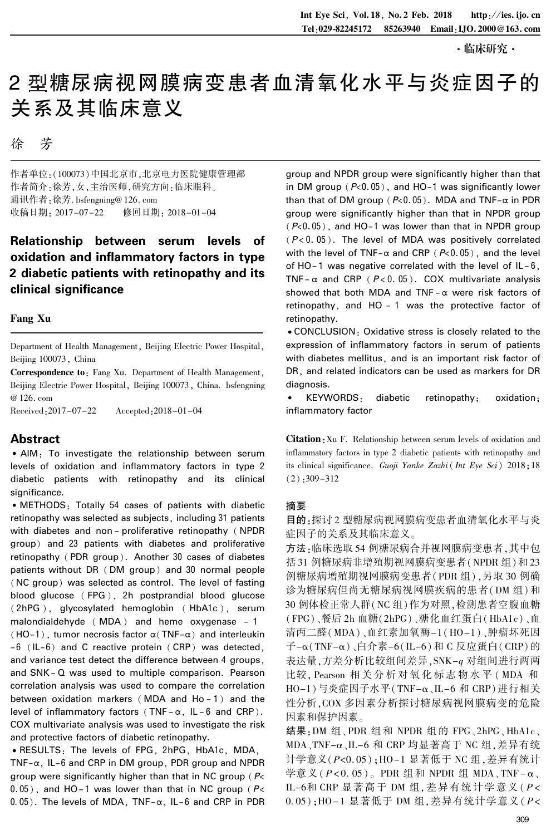#### ·临床研究·

# 2 型糖尿病视网膜病变患者血清氧化水平与炎症因子的 关系及其临床意义

徐 芳

作者单位:(100073)中国北京市,北京电力医院健康管理部 作者简介:徐芳,女,主治医师,研究方向:临床眼科。 通讯作者:徐芳. bsfengning@ 126. com<br>收稿日期: 2017-07-22 修回日期: 2018-01-04 收稿日期: 2017-07-22

## Relationship between serum levels of oxidation and inflammatory factors in type 2 diabetic patients with retinopathy and its clinical significance

### Fang Xu

Department of Health Management, Beijing Electric Power Hospital, Beijing 100073, China

Correspondence to: Fang Xu. Department of Health Management, Beijing Electric Power Hospital, Beijing 100073, China. bsfengning @ 126. com

Received:2017-07-22 Accepted:2018-01-04

## Abstract

• AIM: To investigate the relationship between serum levels of oxidation and inflammatory factors in type 2 diabetic patients with retinopathy and its clinical significance.

• METHODS: Totally 54 cases of patients with diabetic retinopathy was selected as subjects, including 31 patients with diabetes and non-proliferative retinopathy (NPDR group) and 23 patients with diabetes and proliferative retinopathy ( PDR group). Another 30 cases of diabetes patients without DR ( DM group) and 30 normal people (NC group) was selected as control. The level of fasting blood glucose ( FPG ), 2h postprandial blood glucose ( 2hPG ), glycosylated hemoglobin ( HbA1c ), serum malondialdehyde (MDA) and heme oxygenase - 1 (HO-1), tumor necrosis factor  $\alpha$ (TNF- $\alpha$ ) and interleukin -6 (IL-6) and C reactive protein ( CRP) was detected, and variance test detect the difference between 4 groups, and SNK - Q was used to multiple comparison. Pearson correlation analysis was used to compare the correlation between oxidation markers (MDA and Ho-1) and the level of inflammatory factors (TNF- $\alpha$ , IL-6 and CRP). COX multivariate analysis was used to investigate the risk and protective factors of diabetic retinopathy.

<sup>誗</sup>RESULTS: The levels of FPG, 2hPG, HbA1c, MDA, TNF- $\alpha$ , IL-6 and CRP in DM group, PDR group and NPDR group were significantly higher than that in NC group (P<  $0.05$ ), and HO-1 was lower than that in NC group ( $P$ <  $0.05$ ). The levels of MDA, TNF- $\alpha$ , IL-6 and CRP in PDR group and NPDR group were significantly higher than that in DM group  $(P<0.05)$ , and HO-1 was significantly lower than that of DM group ( $P<0.05$ ). MDA and TNF- $\alpha$  in PDR group were significantly higher than that in NPDR group  $(P<0.05)$ , and HO-1 was lower than that in NPDR group  $(P<0.05)$ . The level of MDA was positively correlated with the level of TNF- $\alpha$  and CRP ( $P<0.05$ ), and the level of HO-1 was negative correlated with the level of  $IL-6$ , TNF- $\alpha$  and CRP ( $P < 0.05$ ). COX multivariate analysis showed that both MDA and TNF -  $\alpha$  were risk factors of retinopathy, and HO - 1 was the protective factor of retinopathy.

<sup>誗</sup>CONCLUSION: Oxidative stress is closely related to the expression of inflammatory factors in serum of patients with diabetes mellitus, and is an important risk factor of DR, and related indicators can be used as markers for DR diagnosis.

<sup>誗</sup> KEYWORDS: diabetic retinopathy; oxidation; inflammatory factor

Citation:Xu F. Relationship between serum levels of oxidation and inflammatory factors in type 2 diabetic patients with retinopathy and its clinical significance. Guoji Yanke Zazhi( Int Eye Sci) 2018;18  $(2)$ : 309 - 312

## 摘要

目的:探讨 2 型糖尿病视网膜病变患者血清氧化水平与炎 症因子的关系及其临床意义。

方法:临床选取 54 例糖尿病合并视网膜病变患者,其中包 括 31 例糖尿病非增殖期视网膜病变患者(NPDR 组)和 23 例糖尿病增殖期视网膜病变患者(PDR 组),另取 30 例确 诊为糖尿病但尚无糖尿病视网膜疾病的患者(DM 组)和 30 例体检正常人群(NC 组)作为对照,检测患者空腹血糖 (FPG)、餐后 2h 血糖(2hPG)、糖化血红蛋白(HbA1c)、血 清丙二醛(MDA)、血红素加氧酶-1(HO-1)、肿瘤坏死因 子-琢(TNF-琢)、白介素-6(IL-6)和 C 反应蛋白(CRP)的 表达量,方差分析比较组间差异,SNK-q 对组间进行两两 比较, Pearson 相 关 分 析 对 氧 化 标 志 物 水 平 ( MDA 和 HO-1)与炎症因子水平(TNF-α、IL-6 和 CRP)进行相关 性分析,COX 多因素分析探讨糖尿病视网膜病变的危险 因素和保护因素。

结果: DM 组、PDR 组和 NPDR 组的 FPG、2hPG、HbA1c、 MDA、TNF-α、IL-6 和 CRP 均显著高于 NC 组,差异有统 计学意义(P<0. 05);HO-1 显著低于 NC 组,差异有统计 学意义( $P$ <0.05)。 PDR 组和 NPDR 组 MDA、TNF - α、 IL-6和 CRP 显著高于 DM 组, 差异有统计学意义 ( $P$ < 0.05);HO-1 显著低于 DM 组,差异有统计学意义(P<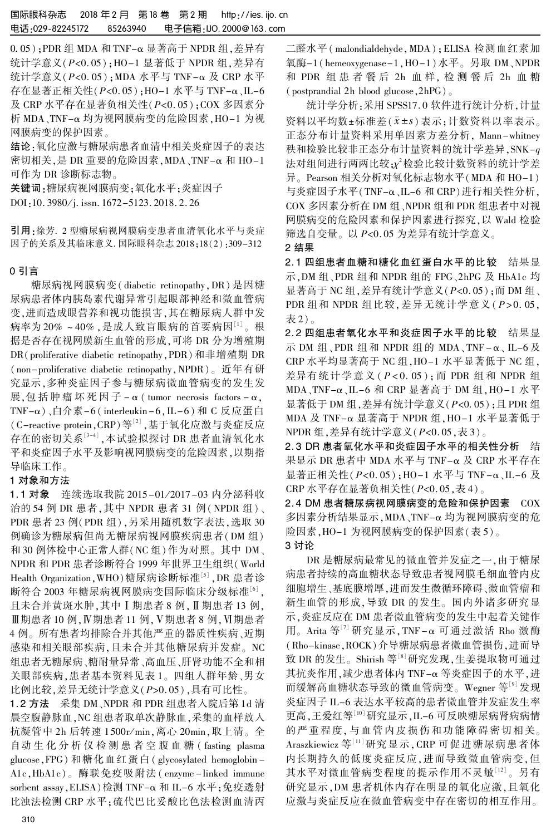0.05);PDR 组 MDA 和 TNF-α 显著高于 NPDR 组, 差异有 统计学意义(P<0. 05);HO-1 显著低于 NPDR 组,差异有 统计学意义( $P$ <0.05);MDA 水平与 TNF-α 及 CRP 水平 存在显著正相关性 $(P < 0.05)$ ;HO-1 水平与 TNF-α、IL-6 及 CRP 水平存在显著负相关性(P<0. 05);COX 多因素分 析 MDA、TNF-琢 均为视网膜病变的危险因素,HO-1 为视 网膜病变的保护因素。

结论:氧化应激与糖尿病患者血清中相关炎症因子的表达 密切相关,是 DR 重要的危险因素,MDA、TNF-琢 和 HO-1 可作为 DR 诊断标志物。

关键词:糖尿病视网膜病变;氧化水平;炎症因子 DOI:10. 3980/j. issn. 1672-5123. 2018. 2. 26

引用:徐芳. 2 型糖尿病视网膜病变患者血清氧化水平与炎症 因子的关系及其临床意义. 国际眼科杂志 2018;18(2):309-312

## 0 引言

糖尿病视网膜病变( diabetic retinopathy,DR) 是因糖 尿病患者体内胰岛素代谢异常引起眼部神经和微血管病 变,进而造成眼营养和视功能损害,其在糖尿病人群中发 病率为 20% ~40% ,是成人致盲眼病的首要病因<sup>[1]</sup> 。根 据是否存在视网膜新生血管的形成,可将 DR 分为增殖期 DR(proliferative diabetic retinopathy,PDR)和非增殖期 DR (non-proliferative diabetic retinopathy,NPDR)。 近年有研 究显示,多种炎症因子参与糖尿病微血管病变的发生发 展,包括肿瘤坏死因子 - α ( tumor necrosis factors - α, TNF-琢)、白介素-6 ( interleukin -6,IL-6) 和 C 反应蛋白 (C-reactive protein, CRP)等<sup>[2]</sup>,基于氧化应激与炎症反应 存在的密切关系[3-4] ,本试验拟探讨 DR 患者血清氧化水 平和炎症因子水平及影响视网膜病变的危险因素,以期指 导临床工作。

## 1 对象和方法

1. 1 对象 连续选取我院 2015-01 / 2017-03 内分泌科收 治的 54 例 DR 患者,其中 NPDR 患者 31 例(NPDR 组)、 PDR 患者 23 例(PDR 组),另采用随机数字表法,选取 30 例确诊为糖尿病但尚无糖尿病视网膜疾病患者(DM 组) 和 30 例体检中心正常人群(NC 组)作为对照。 其中 DM、 NPDR 和 PDR 患者诊断符合 1999 年世界卫生组织(World Health Organization,WHO)糖尿病诊断标准[5] ,DR 患者诊 断符合 2003 年糖尿病视网膜病变国际临床分级标准'<sup>6」</sup>, 且未合并黄斑水肿,其中 I 期患者 8 例, II 期患者 13 例,  $II$ 期患者 10 例, Ⅳ期患者 11 例, Ⅴ期患者 8 例, Ⅵ期患者 4 例。 所有患者均排除合并其他严重的器质性疾病、近期 感染和相关眼部疾病,且未合并其他糖尿病并发症。 NC 组患者无糖尿病、糖耐量异常、高血压、肝肾功能不全和相 关眼部疾病,患者基本资料见表 1。 四组人群年龄、男女 比例比较,差异无统计学意义(P>0. 05),具有可比性。

1. 2 方法 采集 DM、NPDR 和 PDR 组患者入院后第 1d 清 晨空腹静脉血,NC 组患者取单次静脉血,采集的血样放入 抗凝管中 2h 后转速 1500r/ min,离心 20min,取上清。 全 自动 生 化 分 析 仪 检 测 患 者 空 腹 血 糖 ( fasting plasma glucose,FPG) 和糖化血红蛋白( glycosylated hemoglobin - A1c,HbA1c)。 酶联免疫吸附法( enzyme - linked immune sorbent assay, ELISA) 检测 TNF-α 和 IL-6 水平;免疫透射 比浊法检测 CRP 水平;硫代巴比妥酸比色法检测血清丙

二醛水平( malondialdehyde,MDA);ELISA 检测血红素加 氧酶-1( hemeoxygenase-1,HO-1)水平。 另取 DM、NPDR 和 PDR 组 患 者 餐 后 2h 血 样, 检 测 餐 后 2h 血 糖 (postprandial 2h blood glucose,2hPG)。

统计学分析:采用 SPSS17. 0 软件进行统计分析,计量 资料以平均数±标准差(x±s)表示;计数资料以率表示。 正态分布计量资料采用单因素方差分析, Mann-whitney 秩和检验比较非正态分布计量资料的统计学差异,SNK-q 法对组间进行两两比较; $\chi^{\prime}$ 检验比较计数资料的统计学差 异。 Pearson 相关分析对氧化标志物水平(MDA 和 HO-1) 与炎症因子水平(TNF-α、IL-6 和 CRP)进行相关性分析, COX 多因素分析在 DM 组、NPDR 组和 PDR 组患者中对视 网膜病变的危险因素和保护因素进行探究,以 Wald 检验 筛选自变量。 以 P<0. 05 为差异有统计学意义。

2 结果

2. 1 四组患者血糖和糖化血红蛋白水平的比较 结果显 示,DM 组、PDR 组和 NPDR 组的 FPG、2hPG 及 HbA1c 均 显著高于 NC 组, 差异有统计学意义 (P<0.05); 而 DM 组、 PDR 组和 NPDR 组比较, 差异无统计学意义 ( $P > 0.05$ , 表 2)。

2. 2 四组患者氧化水平和炎症因子水平的比较 结果显 示 DM 组、PDR 组和 NPDR 组的 MDA、TNF-α、IL-6及 CRP 水平均显著高于 NC 组,HO-1 水平显著低于 NC 组, 差异有统计学意义 ( P < 0. 05 ); 而 PDR 组和 NPDR 组 MDA、TNF-琢、IL-6 和 CRP 显著高于 DM 组,HO-1 水平 显著低于 DM 组, 差异有统计学意义 $(P< 0.05)$ ; 且 PDR 组 MDA 及 TNF-α 显著高于 NPDR 组, HO-1 水平显著低于 NPDR 组,差异有统计学意义(P<0. 05,表 3)。

2. 3 DR 患者氧化水平和炎症因子水平的相关性分析 结 果显示 DR 患者中 MDA 水平与 TNF-α 及 CRP 水平存在 显著正相关性 $(P < 0.05)$ ; HO-1 水平与 TNF-α、IL-6 及 CRP 水平存在显著负相关性(P<0. 05,表 4)。

2. 4 DM 患者糖尿病视网膜病变的危险和保护因素 COX 多因素分析结果显示,MDA、TNF-α均为视网膜病变的危 险因素,HO-1 为视网膜病变的保护因素(表 5)。 3 讨论

DR 是糖尿病最常见的微血管并发症之一,由于糖尿 病患者持续的高血糖状态导致患者视网膜毛细血管内皮 细胞增生、基底膜增厚,进而发生微循环障碍、微血管瘤和 新生血管的形成,导致 DR 的发生。 国内外诸多研究显 示,炎症反应在 DM 患者微血管病变的发生中起着关键作 用。Arita 等[7] 研究显示, TNF-α可通过激活 Rho 激酶 (Rho-kinase,ROCK)介导糖尿病患者微血管损伤,进而导 致 DR 的发生。Shirish 等<sup>[8]</sup>研究发现,生姜提取物可通过 其抗炎作用,减少患者体内 TNF-α 等炎症因子的水平,进 而缓解高血糖状态导致的微血管病变。 Wegner 等[9] 发现 炎症因子 IL-6 表达水平较高的患者微血管并发症发生率 更高,王爱红等[10]研究显示,IL-6 可反映糖尿病肾病病情 的严重程度, 与血管内皮损伤和功能障碍密切相关。 Araszkiewicz 等[11]研究显示,CRP 可促进糖尿病患者体 内长期持久的低度炎症反应,进而导致微血管病变,但 其水平对微血管病变程度的提示作用不灵敏<sup>[12]</sup>。另有 研究显示,DM 患者机体内存在明显的氧化应激,且氧化 应激与炎症反应在微血管病变中存在密切的相互作用。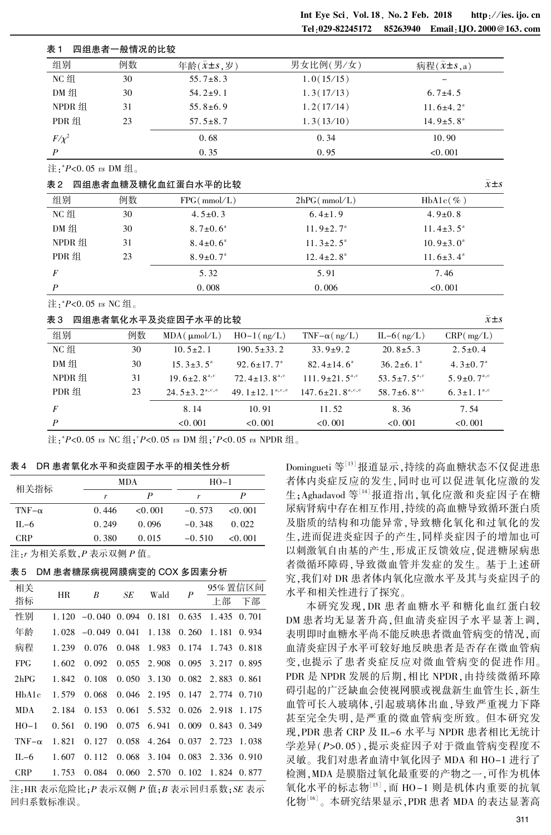#### 表 1 四组患者一般情况的比较

| 组别         | 例数 | 年龄 $(\bar{x} \pm s, \bar{y})$ | 男女比例(男/女)  | 病程 $(x \pm s,a)$            |
|------------|----|-------------------------------|------------|-----------------------------|
| NC 组       | 30 | $55.7 \pm 8.3$                | 1.0(15/15) |                             |
| DM 组       | 30 | $54.2 \pm 9.1$                | 1.3(17/13) | $6.7{\pm}4.5$               |
| NPDR 组     | 31 | $55.8 \pm 6.9$                | 1.2(17/14) | $11.6 \pm 4.2^{\circ}$      |
| PDR 组      | 23 | $57.5 \pm 8.7$                | 1.3(13/10) | $14.9 \pm 5.8$ <sup>a</sup> |
| $F/\chi^2$ |    | 0.68                          | 0.34       | 10.90                       |
| P          |    | 0.35                          | 0.95       | < 0.001                     |

注:" $P$ <0.05 vs DM组。

#### 表 2 四组患者血糖及糖化血红蛋白水平的比较  $\bar{x}$ 主s and the control of  $\bar{x}$ 主s and  $\bar{x}$ 主s and  $\bar{x}$

| 组别     | 例数 | FPG(mmol/L)                | 2hPG(mmol/L)                | $HbA1c(\%)$            |
|--------|----|----------------------------|-----------------------------|------------------------|
| NC 组   | 30 | $4.5 \pm 0.3$              | $6.4 \pm 1.9$               | $4.9 \pm 0.8$          |
| DM 组   | 30 | $8.7 \pm 0.6^{\circ}$      | $11.9 \pm 2.7$ <sup>a</sup> | $11.4 \pm 3.5^{\circ}$ |
| NPDR 组 | 31 | $8.4 \pm 0.6^{\circ}$      | $11.3 \pm 2.5^{\circ}$      | $10.9 \pm 3.0^{\circ}$ |
| PDR 组  | 23 | $8.9 \pm 0.7$ <sup>a</sup> | $12.4 \pm 2.8$ <sup>a</sup> | $11.6 \pm 3.4^{\circ}$ |
| F      |    | 5.32                       | 5.91                        | 7.46                   |
| P      |    | 0.008                      | 0.006                       | < 0.001                |

注:" $P$ <0.05 vs NC 组。

#### <sup>表</sup> <sup>3</sup> 四组患者氧化水平及炎症因子水平的比较 x軃依s

| 组别               | 例数 | $MDA(\mu \text{mol/L})$       | $HO-1$ (ng/L)                                     | TNF $-\alpha$ (ng/L)              | $IL-6$ (ng/L)                 | CRP(mg/L)                    |
|------------------|----|-------------------------------|---------------------------------------------------|-----------------------------------|-------------------------------|------------------------------|
| NC 组             | 30 | $10.5 \pm 2.1$                | $190.5 \pm 33.2$                                  | $33.9 \pm 9.2$                    | $20.8 \pm 5.3$                | $2.5 \pm 0.4$                |
| DM 组             | 30 | $15.3 \pm 3.5^{\circ}$        | 92.6 $\pm$ 17.7 <sup>a</sup>                      | $82.4 \pm 14.6^{\circ}$           | $36.2\pm6.1^{\circ}$          | $4.3 \pm 0.7$ <sup>a</sup>   |
| NPDR 组           | 31 | $19.6 \pm 2.8^{\text{a,c}}$   | 72.4 $\pm$ 13.8 <sup>a,c</sup>                    | $111.9 \pm 21.5$ <sup>a,c</sup>   | 53.5 $\pm$ 7.5 <sup>a,c</sup> | 5.9 $\pm$ 0.7 <sup>a,c</sup> |
| PDR 组            | 23 | $24.5 \pm 3.2^{\text{a,e,e}}$ | 49. $1 \pm 12$ , $1^{\text{a},\text{c},\text{e}}$ | $147.6 \pm 21.8$ <sup>a,c,e</sup> | 58.7 $\pm$ 6.8 <sup>a,c</sup> | $6.3 \pm 1.1^{a,c}$          |
| $\overline{F}$   |    | 8.14                          | 10.91                                             | 11.52                             | 8.36                          | 7.54                         |
| $\boldsymbol{P}$ |    | < 0.001                       | < 0.001                                           | < 0.001                           | < 0.001                       | < 0.001                      |

注:"P<0.05 vs NC 组;"P<0.05 vs DM 组;"P<0.05 vs NPDR 组。

#### 表 4 DR 患者氧化水平和炎症因子水平的相关性分析

| 相关指标          |       | MDA     | $_{\rm HO-1}$ |         |  |
|---------------|-------|---------|---------------|---------|--|
|               |       | P       | r             | P       |  |
| TNF- $\alpha$ | 0.446 | < 0.001 | $-0.573$      | 0.001   |  |
| $IL-6$        | 0.249 | 0.096   | $-0.348$      | 0.022   |  |
| <b>CRP</b>    | 0.380 | 0.015   | $-0.510$      | < 0.001 |  |
|               |       |         |               |         |  |

注:r 为相关系数,P 表示双侧 P 值。

表 5 DM 患者糖尿病视网膜病变的 COX 多因素分析

| 相关                | HR    | B        | SЕ    | Wald  | P     | 95% 置信区间            |       |
|-------------------|-------|----------|-------|-------|-------|---------------------|-------|
| 指标                |       |          |       |       |       | 上部                  | 下部    |
| 性别                | 1.120 | $-0.040$ | 0.094 | 0.181 | 0.635 | 1.435               | 0.701 |
| 年龄                | 1.028 | $-0.049$ | 0.041 | 1.138 | 0.260 | 1.181               | 0.934 |
| 病程                | 1.239 | 0.076    | 0.048 | 1.983 | 0.174 | 1.743               | 0.818 |
| <b>FPG</b>        | 1.602 | 0.092    | 0.055 | 2.908 | 0.095 | 3.217               | 0.895 |
| 2 <sub>h</sub> PG | 1.842 | 0.108    | 0.050 | 3.130 | 0.082 | 2.883               | 0.861 |
| HbA1c             | 1.579 | 0.068    | 0.046 | 2.195 | 0.147 | 2.774 0.710         |       |
| <b>MDA</b>        | 2.184 | 0.153    | 0.061 | 5.532 | 0.026 | 2.918               | 1.175 |
| $HO-1$            | 0.561 | 0.190    | 0.075 | 6.941 | 0.009 | $0.843 \quad 0.349$ |       |
| TNF $-\alpha$     | 1.821 | 0.127    | 0.058 | 4.264 | 0.037 | 2.723               | 1.038 |
| $IL-6$            | 1.607 | 0.112    | 0.068 | 3.104 | 0.083 | 2.336               | 0.910 |
| <b>CRP</b>        | 1.753 | 0.084    | 0.060 | 2.570 | 0.102 | 1.824               | 0.877 |
|                   |       |          |       |       |       |                     |       |

注: HR 表示危险比;  $P$  表示双侧  $P$  值;  $B$  表示回归系数;  $SE$  表示 回归系数标准误。

Domingueti 等[13] 报道显示,持续的高血糖状态不仅促进患 者体内炎症反应的发生,同时也可以促进氧化应激的发 生;Aghadavod 等[14]报道指出,氧化应激和炎症因子在糖 尿病肾病中存在相互作用,持续的高血糖导致循环蛋白质 及脂质的结构和功能异常,导致糖化氧化和过氧化的发 生,进而促进炎症因子的产生,同样炎症因子的增加也可 以刺激氧自由基的产生,形成正反馈效应,促进糖尿病患 者微循环障碍,导致微血管并发症的发生。 基于上述研 究,我们对 DR 患者体内氧化应激水平及其与炎症因子的 水平和相关性进行了探究。

本研究发现,DR 患者血糖水平和糖化血红蛋白较 DM 患者均无显著升高,但血清炎症因子水平显著上调, 表明即时血糖水平尚不能反映患者微血管病变的情况,而 血清炎症因子水平可较好地反映患者是否存在微血管病 变,也提示了患者炎症反应对微血管病变的促进作用。 PDR 是 NPDR 发展的后期,相比 NPDR,由持续微循环障 碍引起的广泛缺血会使视网膜或视盘新生血管生长,新生 血管可长入玻璃体,引起玻璃体出血,导致严重视力下降 甚至完全失明,是严重的微血管病变所致。 但本研究发 现,PDR 患者 CRP 及 IL-6 水平与 NPDR 患者相比无统计 学差异(P>0. 05),提示炎症因子对于微血管病变程度不 灵敏。 我们对患者血清中氧化因子 MDA 和 HO-1 进行了 检测,MDA 是膜脂过氧化最重要的产物之一,可作为机体 氧化水平的标志物<sup>[15]</sup> , 而 HO-1 则是机体内重要的抗氧 化物 $^{\text{\tiny{[16]}}}$ 。本研究结果显示 ,PDR 患者 MDA 的表达显著高